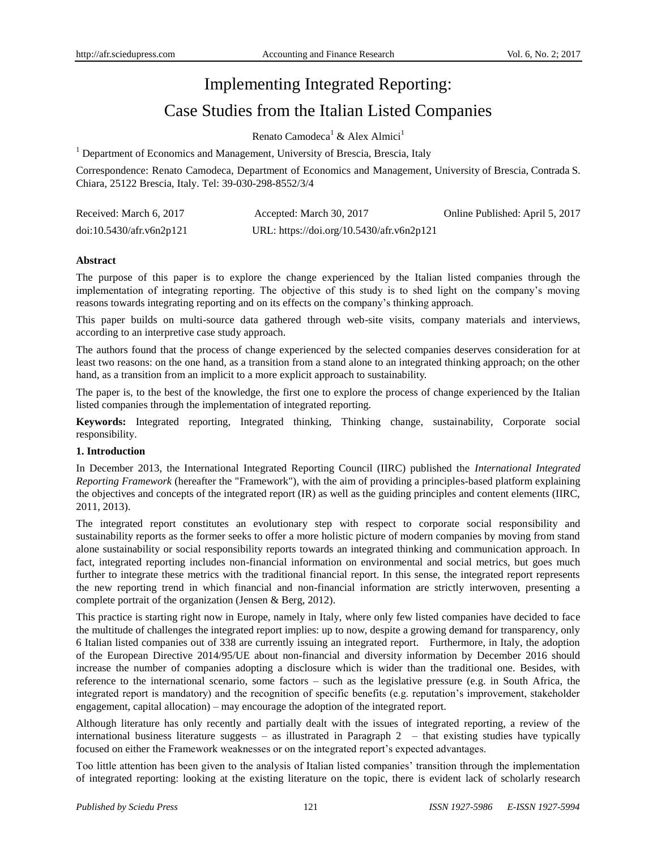# Implementing Integrated Reporting: Case Studies from the Italian Listed Companies

Renato Camodeca<sup>1</sup> & Alex Almici<sup>1</sup>

<sup>1</sup> Department of Economics and Management, University of Brescia, Brescia, Italy

Correspondence: Renato Camodeca, Department of Economics and Management, University of Brescia, Contrada S. Chiara, 25122 Brescia, Italy. Tel: 39-030-298-8552/3/4

| Received: March 6, 2017  | Accepted: March 30, 2017                  | Online Published: April 5, 2017 |
|--------------------------|-------------------------------------------|---------------------------------|
| doi:10.5430/afr.v6n2p121 | URL: https://doi.org/10.5430/afr.v6n2p121 |                                 |

# **Abstract**

The purpose of this paper is to explore the change experienced by the Italian listed companies through the implementation of integrating reporting. The objective of this study is to shed light on the company's moving reasons towards integrating reporting and on its effects on the company's thinking approach.

This paper builds on multi-source data gathered through web-site visits, company materials and interviews, according to an interpretive case study approach.

The authors found that the process of change experienced by the selected companies deserves consideration for at least two reasons: on the one hand, as a transition from a stand alone to an integrated thinking approach; on the other hand, as a transition from an implicit to a more explicit approach to sustainability.

The paper is, to the best of the knowledge, the first one to explore the process of change experienced by the Italian listed companies through the implementation of integrated reporting.

**Keywords:** Integrated reporting, Integrated thinking, Thinking change, sustainability, Corporate social responsibility.

# **1. Introduction**

In December 2013, the International Integrated Reporting Council (IIRC) published the *International Integrated Reporting Framework* (hereafter the "Framework"), with the aim of providing a principles-based platform explaining the objectives and concepts of the integrated report (IR) as well as the guiding principles and content elements (IIRC, 2011, 2013).

The integrated report constitutes an evolutionary step with respect to corporate social responsibility and sustainability reports as the former seeks to offer a more holistic picture of modern companies by moving from stand alone sustainability or social responsibility reports towards an integrated thinking and communication approach. In fact, integrated reporting includes non-financial information on environmental and social metrics, but goes much further to integrate these metrics with the traditional financial report. In this sense, the integrated report represents the new reporting trend in which financial and non-financial information are strictly interwoven, presenting a complete portrait of the organization (Jensen & Berg, 2012).

This practice is starting right now in Europe, namely in Italy, where only few listed companies have decided to face the multitude of challenges the integrated report implies: up to now, despite a growing demand for transparency, only 6 Italian listed companies out of 338 are currently issuing an integrated report. Furthermore, in Italy, the adoption of the European Directive 2014/95/UE about non-financial and diversity information by December 2016 should increase the number of companies adopting a disclosure which is wider than the traditional one. Besides, with reference to the international scenario, some factors – such as the legislative pressure (e.g. in South Africa, the integrated report is mandatory) and the recognition of specific benefits (e.g. reputation's improvement, stakeholder engagement, capital allocation) – may encourage the adoption of the integrated report.

Although literature has only recently and partially dealt with the issues of integrated reporting, a review of the international business literature suggests – as illustrated in Paragraph 2 – that existing studies have typically focused on either the Framework weaknesses or on the integrated report's expected advantages.

Too little attention has been given to the analysis of Italian listed companies' transition through the implementation of integrated reporting: looking at the existing literature on the topic, there is evident lack of scholarly research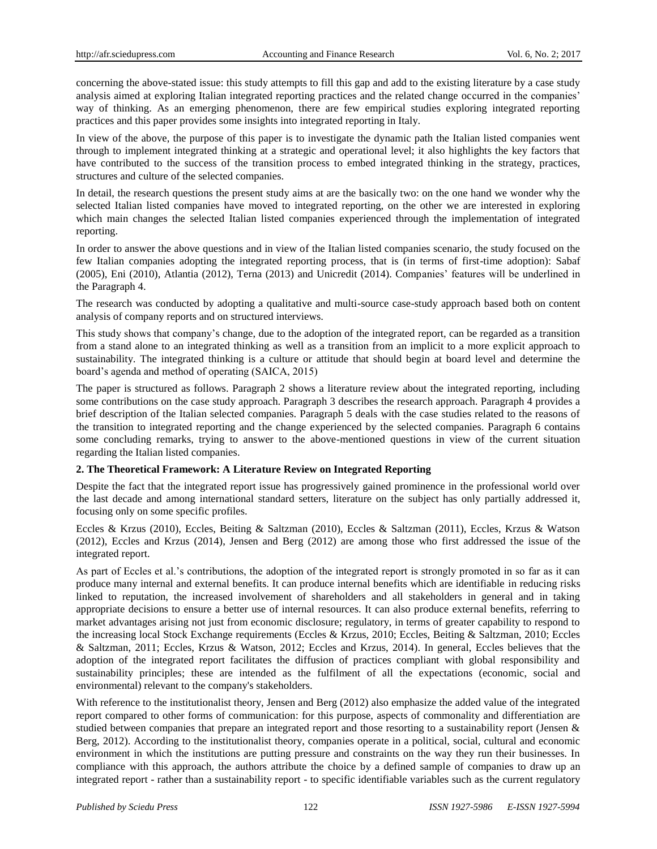concerning the above-stated issue: this study attempts to fill this gap and add to the existing literature by a case study analysis aimed at exploring Italian integrated reporting practices and the related change occurred in the companies' way of thinking. As an emerging phenomenon, there are few empirical studies exploring integrated reporting practices and this paper provides some insights into integrated reporting in Italy.

In view of the above, the purpose of this paper is to investigate the dynamic path the Italian listed companies went through to implement integrated thinking at a strategic and operational level; it also highlights the key factors that have contributed to the success of the transition process to embed integrated thinking in the strategy, practices, structures and culture of the selected companies.

In detail, the research questions the present study aims at are the basically two: on the one hand we wonder why the selected Italian listed companies have moved to integrated reporting, on the other we are interested in exploring which main changes the selected Italian listed companies experienced through the implementation of integrated reporting.

In order to answer the above questions and in view of the Italian listed companies scenario, the study focused on the few Italian companies adopting the integrated reporting process, that is (in terms of first-time adoption): Sabaf (2005), Eni (2010), Atlantia (2012), Terna (2013) and Unicredit (2014). Companies' features will be underlined in the Paragraph 4.

The research was conducted by adopting a qualitative and multi-source case-study approach based both on content analysis of company reports and on structured interviews.

This study shows that company's change, due to the adoption of the integrated report, can be regarded as a transition from a stand alone to an integrated thinking as well as a transition from an implicit to a more explicit approach to sustainability. The integrated thinking is a culture or attitude that should begin at board level and determine the board's agenda and method of operating (SAICA, 2015)

The paper is structured as follows. Paragraph 2 shows a literature review about the integrated reporting, including some contributions on the case study approach. Paragraph 3 describes the research approach. Paragraph 4 provides a brief description of the Italian selected companies. Paragraph 5 deals with the case studies related to the reasons of the transition to integrated reporting and the change experienced by the selected companies. Paragraph 6 contains some concluding remarks, trying to answer to the above-mentioned questions in view of the current situation regarding the Italian listed companies.

# **2. The Theoretical Framework: A Literature Review on Integrated Reporting**

Despite the fact that the integrated report issue has progressively gained prominence in the professional world over the last decade and among international standard setters, literature on the subject has only partially addressed it, focusing only on some specific profiles.

Eccles & Krzus (2010), Eccles, Beiting & Saltzman (2010), Eccles & Saltzman (2011), Eccles, Krzus & Watson (2012), Eccles and Krzus (2014), Jensen and Berg (2012) are among those who first addressed the issue of the integrated report.

As part of Eccles et al.'s contributions, the adoption of the integrated report is strongly promoted in so far as it can produce many internal and external benefits. It can produce internal benefits which are identifiable in reducing risks linked to reputation, the increased involvement of shareholders and all stakeholders in general and in taking appropriate decisions to ensure a better use of internal resources. It can also produce external benefits, referring to market advantages arising not just from economic disclosure; regulatory, in terms of greater capability to respond to the increasing local Stock Exchange requirements (Eccles & Krzus, 2010; Eccles, Beiting & Saltzman, 2010; Eccles & Saltzman, 2011; Eccles, Krzus & Watson, 2012; Eccles and Krzus, 2014). In general, Eccles believes that the adoption of the integrated report facilitates the diffusion of practices compliant with global responsibility and sustainability principles; these are intended as the fulfilment of all the expectations (economic, social and environmental) relevant to the company's stakeholders.

With reference to the institutionalist theory, Jensen and Berg (2012) also emphasize the added value of the integrated report compared to other forms of communication: for this purpose, aspects of commonality and differentiation are studied between companies that prepare an integrated report and those resorting to a sustainability report (Jensen & Berg, 2012). According to the institutionalist theory, companies operate in a political, social, cultural and economic environment in which the institutions are putting pressure and constraints on the way they run their businesses. In compliance with this approach, the authors attribute the choice by a defined sample of companies to draw up an integrated report - rather than a sustainability report - to specific identifiable variables such as the current regulatory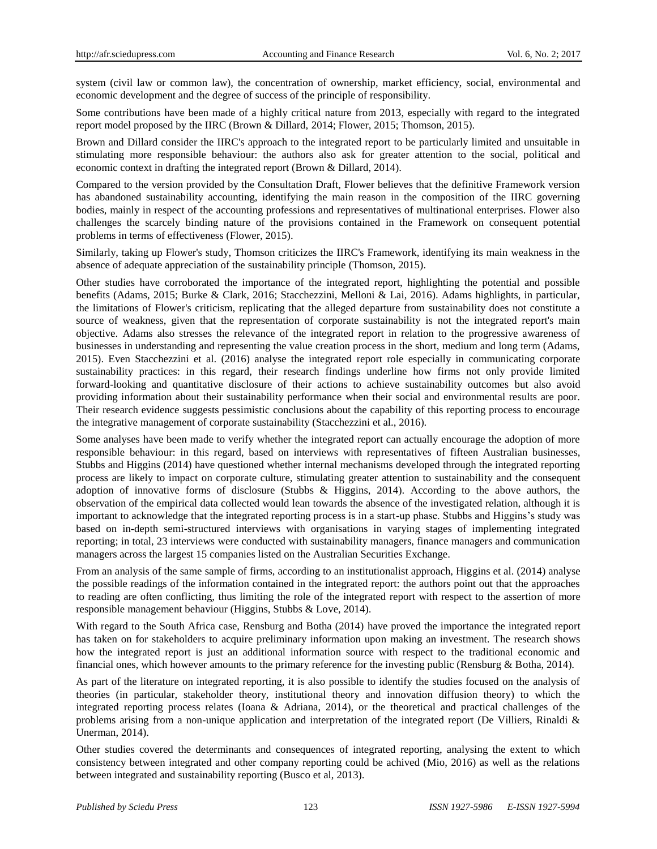system (civil law or common law), the concentration of ownership, market efficiency, social, environmental and economic development and the degree of success of the principle of responsibility.

Some contributions have been made of a highly critical nature from 2013, especially with regard to the integrated report model proposed by the IIRC (Brown & Dillard, 2014; Flower, 2015; Thomson, 2015).

Brown and Dillard consider the IIRC's approach to the integrated report to be particularly limited and unsuitable in stimulating more responsible behaviour: the authors also ask for greater attention to the social, political and economic context in drafting the integrated report (Brown & Dillard, 2014).

Compared to the version provided by the Consultation Draft, Flower believes that the definitive Framework version has abandoned sustainability accounting, identifying the main reason in the composition of the IIRC governing bodies, mainly in respect of the accounting professions and representatives of multinational enterprises. Flower also challenges the scarcely binding nature of the provisions contained in the Framework on consequent potential problems in terms of effectiveness (Flower, 2015).

Similarly, taking up Flower's study, Thomson criticizes the IIRC's Framework, identifying its main weakness in the absence of adequate appreciation of the sustainability principle (Thomson, 2015).

Other studies have corroborated the importance of the integrated report, highlighting the potential and possible benefits (Adams, 2015; Burke & Clark, 2016; Stacchezzini, Melloni & Lai, 2016). Adams highlights, in particular, the limitations of Flower's criticism, replicating that the alleged departure from sustainability does not constitute a source of weakness, given that the representation of corporate sustainability is not the integrated report's main objective. Adams also stresses the relevance of the integrated report in relation to the progressive awareness of businesses in understanding and representing the value creation process in the short, medium and long term (Adams, 2015). Even Stacchezzini et al. (2016) analyse the integrated report role especially in communicating corporate sustainability practices: in this regard, their research findings underline how firms not only provide limited forward-looking and quantitative disclosure of their actions to achieve sustainability outcomes but also avoid providing information about their sustainability performance when their social and environmental results are poor. Their research evidence suggests pessimistic conclusions about the capability of this reporting process to encourage the integrative management of corporate sustainability (Stacchezzini et al., 2016).

Some analyses have been made to verify whether the integrated report can actually encourage the adoption of more responsible behaviour: in this regard, based on interviews with representatives of fifteen Australian businesses, Stubbs and Higgins (2014) have questioned whether internal mechanisms developed through the integrated reporting process are likely to impact on corporate culture, stimulating greater attention to sustainability and the consequent adoption of innovative forms of disclosure (Stubbs & Higgins, 2014). According to the above authors, the observation of the empirical data collected would lean towards the absence of the investigated relation, although it is important to acknowledge that the integrated reporting process is in a start-up phase. Stubbs and Higgins's study was based on in-depth semi-structured interviews with organisations in varying stages of implementing integrated reporting; in total, 23 interviews were conducted with sustainability managers, finance managers and communication managers across the largest 15 companies listed on the Australian Securities Exchange.

From an analysis of the same sample of firms, according to an institutionalist approach, Higgins et al. (2014) analyse the possible readings of the information contained in the integrated report: the authors point out that the approaches to reading are often conflicting, thus limiting the role of the integrated report with respect to the assertion of more responsible management behaviour (Higgins, Stubbs & Love, 2014).

With regard to the South Africa case, Rensburg and Botha (2014) have proved the importance the integrated report has taken on for stakeholders to acquire preliminary information upon making an investment. The research shows how the integrated report is just an additional information source with respect to the traditional economic and financial ones, which however amounts to the primary reference for the investing public (Rensburg & Botha, 2014).

As part of the literature on integrated reporting, it is also possible to identify the studies focused on the analysis of theories (in particular, stakeholder theory, institutional theory and innovation diffusion theory) to which the integrated reporting process relates (Ioana & Adriana, 2014), or the theoretical and practical challenges of the problems arising from a non-unique application and interpretation of the integrated report (De Villiers, Rinaldi & Unerman, 2014).

Other studies covered the determinants and consequences of integrated reporting, analysing the extent to which consistency between integrated and other company reporting could be achived (Mio, 2016) as well as the relations between integrated and sustainability reporting (Busco et al, 2013).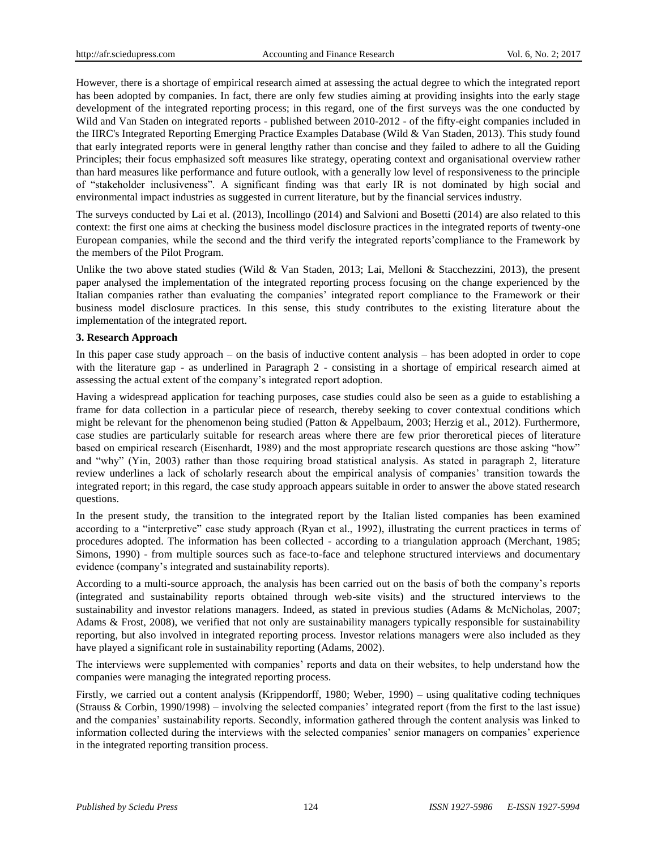However, there is a shortage of empirical research aimed at assessing the actual degree to which the integrated report has been adopted by companies. In fact, there are only few studies aiming at providing insights into the early stage development of the integrated reporting process; in this regard, one of the first surveys was the one conducted by Wild and Van Staden on integrated reports - published between 2010-2012 - of the fifty-eight companies included in the IIRC's Integrated Reporting Emerging Practice Examples Database (Wild & Van Staden, 2013). This study found that early integrated reports were in general lengthy rather than concise and they failed to adhere to all the Guiding Principles; their focus emphasized soft measures like strategy, operating context and organisational overview rather than hard measures like performance and future outlook, with a generally low level of responsiveness to the principle of "stakeholder inclusiveness". A significant finding was that early IR is not dominated by high social and environmental impact industries as suggested in current literature, but by the financial services industry.

The surveys conducted by Lai et al. (2013), Incollingo (2014) and Salvioni and Bosetti (2014) are also related to this context: the first one aims at checking the business model disclosure practices in the integrated reports of twenty-one European companies, while the second and the third verify the integrated reports'compliance to the Framework by the members of the Pilot Program.

Unlike the two above stated studies (Wild & Van Staden, 2013; Lai, Melloni & Stacchezzini, 2013), the present paper analysed the implementation of the integrated reporting process focusing on the change experienced by the Italian companies rather than evaluating the companies' integrated report compliance to the Framework or their business model disclosure practices. In this sense, this study contributes to the existing literature about the implementation of the integrated report.

# **3. Research Approach**

In this paper case study approach – on the basis of inductive content analysis – has been adopted in order to cope with the literature gap - as underlined in Paragraph 2 - consisting in a shortage of empirical research aimed at assessing the actual extent of the company's integrated report adoption.

Having a widespread application for teaching purposes, case studies could also be seen as a guide to establishing a frame for data collection in a particular piece of research, thereby seeking to cover contextual conditions which might be relevant for the phenomenon being studied (Patton & Appelbaum, 2003; Herzig et al., 2012). Furthermore, case studies are particularly suitable for research areas where there are few prior theroretical pieces of literature based on empirical research (Eisenhardt, 1989) and the most appropriate research questions are those asking "how" and "why" (Yin, 2003) rather than those requiring broad statistical analysis. As stated in paragraph 2, literature review underlines a lack of scholarly research about the empirical analysis of companies' transition towards the integrated report; in this regard, the case study approach appears suitable in order to answer the above stated research questions.

In the present study, the transition to the integrated report by the Italian listed companies has been examined according to a "interpretive" case study approach (Ryan et al., 1992), illustrating the current practices in terms of procedures adopted. The information has been collected - according to a triangulation approach (Merchant, 1985; Simons, 1990) - from multiple sources such as face-to-face and telephone structured interviews and documentary evidence (company's integrated and sustainability reports).

According to a multi-source approach, the analysis has been carried out on the basis of both the company's reports (integrated and sustainability reports obtained through web-site visits) and the structured interviews to the sustainability and investor relations managers. Indeed, as stated in previous studies (Adams & McNicholas, 2007; Adams & Frost, 2008), we verified that not only are sustainability managers typically responsible for sustainability reporting, but also involved in integrated reporting process. Investor relations managers were also included as they have played a significant role in sustainability reporting (Adams, 2002).

The interviews were supplemented with companies' reports and data on their websites, to help understand how the companies were managing the integrated reporting process.

Firstly, we carried out a content analysis (Krippendorff, 1980; Weber, 1990) – using qualitative coding techniques (Strauss & Corbin, 1990/1998) – involving the selected companies' integrated report (from the first to the last issue) and the companies' sustainability reports. Secondly, information gathered through the content analysis was linked to information collected during the interviews with the selected companies' senior managers on companies' experience in the integrated reporting transition process.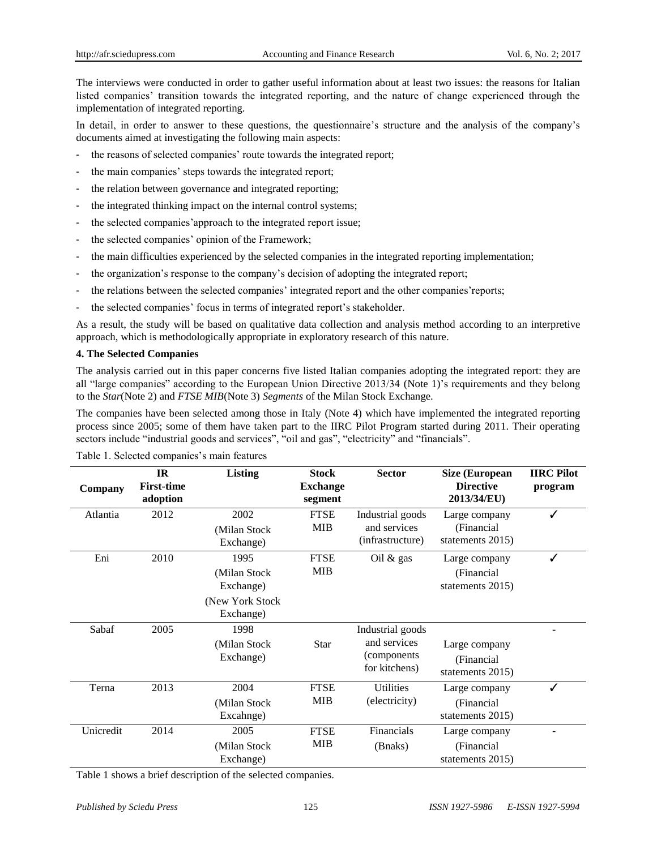The interviews were conducted in order to gather useful information about at least two issues: the reasons for Italian listed companies' transition towards the integrated reporting, and the nature of change experienced through the implementation of integrated reporting.

In detail, in order to answer to these questions, the questionnaire's structure and the analysis of the company's documents aimed at investigating the following main aspects:

- the reasons of selected companies' route towards the integrated report;
- the main companies' steps towards the integrated report;
- the relation between governance and integrated reporting;
- the integrated thinking impact on the internal control systems;
- the selected companies'approach to the integrated report issue;
- the selected companies' opinion of the Framework;
- the main difficulties experienced by the selected companies in the integrated reporting implementation;
- the organization's response to the company's decision of adopting the integrated report;
- the relations between the selected companies' integrated report and the other companies'reports;
- the selected companies' focus in terms of integrated report's stakeholder.

As a result, the study will be based on qualitative data collection and analysis method according to an interpretive approach, which is methodologically appropriate in exploratory research of this nature.

# **4. The Selected Companies**

The analysis carried out in this paper concerns five listed Italian companies adopting the integrated report: they are all "large companies" according to the European Union Directive 2013/34 (Note 1)'s requirements and they belong to the *Star*(Note 2) and *FTSE MIB*(Note 3) *Segments* of the Milan Stock Exchange.

The companies have been selected among those in Italy (Note 4) which have implemented the integrated reporting process since 2005; some of them have taken part to the IIRC Pilot Program started during 2011. Their operating sectors include "industrial goods and services", "oil and gas", "electricity" and "financials".

| Company   | $_{\rm IR}$<br><b>First-time</b><br>adoption | <b>Listing</b>                                                      | <b>Stock</b><br><b>Exchange</b><br>segment | <b>Sector</b>                                                     | <b>Size (European</b><br><b>Directive</b><br>2013/34/EU) | <b>IIRC Pilot</b><br>program |
|-----------|----------------------------------------------|---------------------------------------------------------------------|--------------------------------------------|-------------------------------------------------------------------|----------------------------------------------------------|------------------------------|
| Atlantia  | 2012                                         | 2002<br>(Milan Stock<br>Exchange)                                   | <b>FTSE</b><br><b>MIB</b>                  | Industrial goods<br>and services<br>(infrastructure)              | Large company<br>(Financial<br>statements 2015)          | ✓                            |
| Eni       | 2010                                         | 1995<br>(Milan Stock)<br>Exchange)<br>(New York Stock)<br>Exchange) | <b>FTSE</b><br><b>MIB</b>                  | Oil $&$ gas                                                       | Large company<br>(Financial)<br>statements 2015)         | ✓                            |
| Sabaf     | 2005                                         | 1998<br>(Milan Stock)<br>Exchange)                                  | <b>Star</b>                                | Industrial goods<br>and services<br>(components)<br>for kitchens) | Large company<br>(Financial)<br>statements 2015)         |                              |
| Terna     | 2013                                         | 2004<br>(Milan Stock<br>Excahnge)                                   | <b>FTSE</b><br><b>MIB</b>                  | <b>Utilities</b><br>(electricity)                                 | Large company<br>(Financial<br>statements 2015)          | ✓                            |
| Unicredit | 2014                                         | 2005<br>(Milan Stock<br>Exchange)                                   | <b>FTSE</b><br><b>MIB</b>                  | Financials<br>(Bnaks)                                             | Large company<br>(Financial<br>statements 2015)          |                              |

Table 1. Selected companies's main features

Table 1 shows a brief description of the selected companies.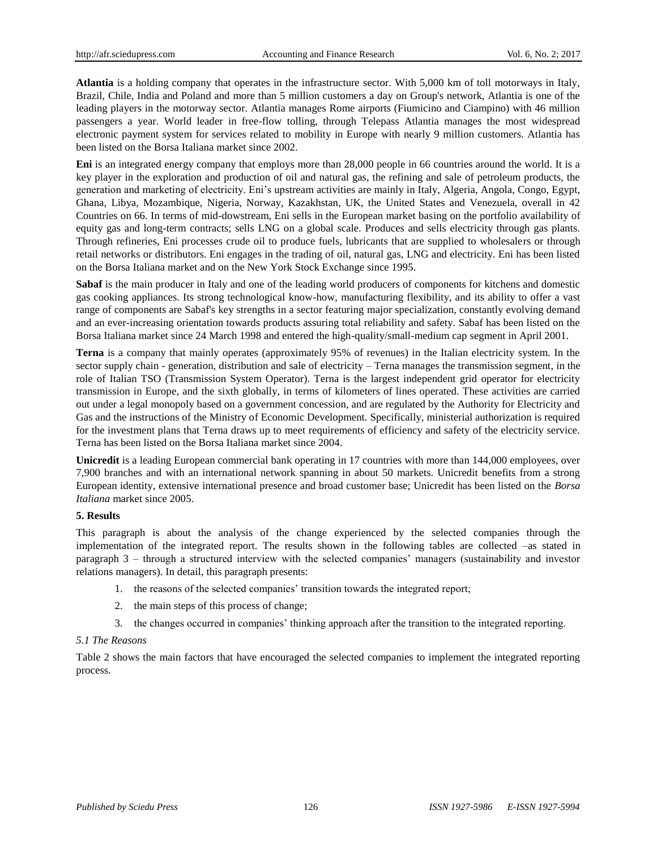**Atlantia** is a holding company that operates in the infrastructure sector. With 5,000 km of toll motorways in Italy, Brazil, Chile, India and Poland and more than 5 million customers a day on Group's network, Atlantia is one of the leading players in the motorway sector. Atlantia manages Rome airports (Fiumicino and Ciampino) with 46 million passengers a year. World leader in free-flow tolling, through Telepass Atlantia manages the most widespread electronic payment system for services related to mobility in Europe with nearly 9 million customers. Atlantia has been listed on the Borsa Italiana market since 2002.

**Eni** is an integrated energy company that employs more than 28,000 people in 66 countries around the world. It is a key player in the exploration and production of oil and natural gas, the refining and sale of petroleum products, the generation and marketing of electricity. Eni's upstream activities are mainly in Italy, Algeria, Angola, Congo, Egypt, Ghana, Libya, Mozambique, Nigeria, Norway, Kazakhstan, UK, the United States and Venezuela, overall in 42 Countries on 66. In terms of mid-dowstream, Eni sells in the European market basing on the portfolio availability of equity gas and long-term contracts; sells LNG on a global scale. Produces and sells electricity through gas plants. Through refineries, Eni processes crude oil to produce fuels, lubricants that are supplied to wholesalers or through retail networks or distributors. Eni engages in the trading of oil, natural gas, LNG and electricity. Eni has been listed on the Borsa Italiana market and on the New York Stock Exchange since 1995.

**Sabaf** is the main producer in Italy and one of the leading world producers of components for kitchens and domestic gas cooking appliances. Its strong technological know-how, manufacturing flexibility, and its ability to offer a vast range of components are Sabaf's key strengths in a sector featuring major specialization, constantly evolving demand and an ever-increasing orientation towards products assuring total reliability and safety. Sabaf has been listed on the Borsa Italiana market since 24 March 1998 and entered the high-quality/small-medium cap segment in April 2001.

**Terna** is a company that mainly operates (approximately 95% of revenues) in the Italian electricity system. In the sector supply chain - generation, distribution and sale of electricity – [Terna manages the transmission segment,](http://ternaintegratedreport2012.message-asp.com/en/en/integrated-reporting/electricity-transmission) in the role of Italian TSO (Transmission System Operator). Terna is the largest independent grid operator for electricity transmission in Europe, and the sixth globally, in terms of kilometers of lines operated. These activities are carried out under a legal monopoly based on a government concession, and are regulated by the Authority for Electricity and Gas and the instructions of the Ministry of Economic Development. Specifically, ministerial authorization is required for the investment plans that Terna draws up to meet requirements of efficiency and safety of the electricity service. Terna has been listed on the Borsa Italiana market since 2004.

**Unicredit** is a leading European commercial bank operating in 17 countries with more than 144,000 employees, over 7,900 branches and with an international network spanning in about 50 markets. Unicredit benefits from a strong European identity, extensive international presence and broad customer base; Unicredit has been listed on the *Borsa Italiana* market since 2005.

# **5. Results**

This paragraph is about the analysis of the change experienced by the selected companies through the implementation of the integrated report. The results shown in the following tables are collected –as stated in paragraph 3 – through a structured interview with the selected companies' managers (sustainability and investor relations managers). In detail, this paragraph presents:

- 1. the reasons of the selected companies' transition towards the integrated report;
- 2. the main steps of this process of change;
- 3. the changes occurred in companies' thinking approach after the transition to the integrated reporting.

# *5.1 The Reasons*

Table 2 shows the main factors that have encouraged the selected companies to implement the integrated reporting process.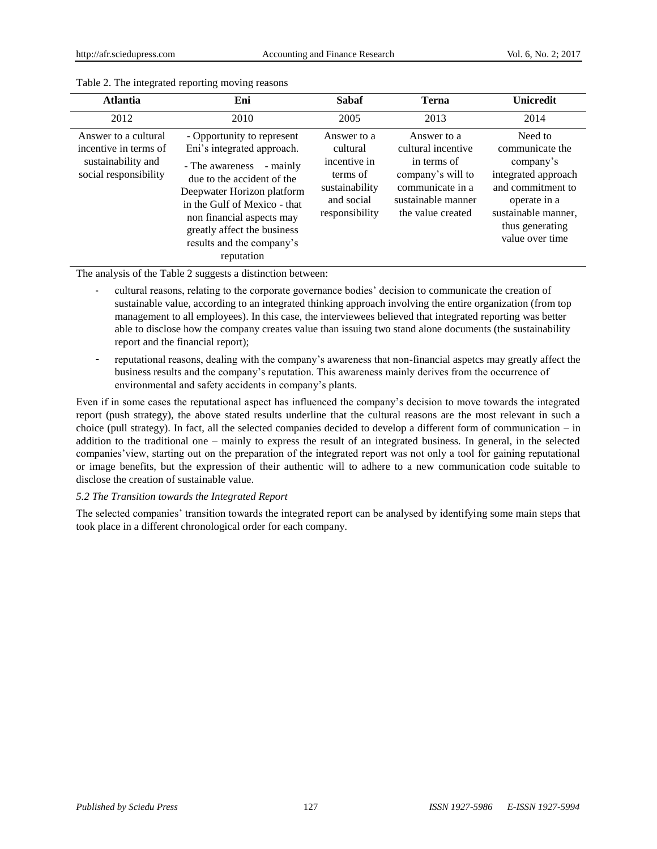| <b>Atlantia</b>                                                                              | Eni                                                                                                                                                                                                                                                                                     | <b>Sabaf</b>                                                                                          | <b>Terna</b>                                                                                                                         | <b>Unicredit</b>                                                                                                                                                 |
|----------------------------------------------------------------------------------------------|-----------------------------------------------------------------------------------------------------------------------------------------------------------------------------------------------------------------------------------------------------------------------------------------|-------------------------------------------------------------------------------------------------------|--------------------------------------------------------------------------------------------------------------------------------------|------------------------------------------------------------------------------------------------------------------------------------------------------------------|
| 2012                                                                                         | 2010                                                                                                                                                                                                                                                                                    | 2005                                                                                                  | 2013                                                                                                                                 | 2014                                                                                                                                                             |
| Answer to a cultural<br>incentive in terms of<br>sustainability and<br>social responsibility | - Opportunity to represent<br>Eni's integrated approach.<br>- The awareness - mainly<br>due to the accident of the<br>Deepwater Horizon platform<br>in the Gulf of Mexico - that<br>non financial aspects may<br>greatly affect the business<br>results and the company's<br>reputation | Answer to a<br>cultural<br>incentive in<br>terms of<br>sustainability<br>and social<br>responsibility | Answer to a<br>cultural incentive<br>in terms of<br>company's will to<br>communicate in a<br>sustainable manner<br>the value created | Need to<br>communicate the<br>company's<br>integrated approach<br>and commitment to<br>operate in a<br>sustainable manner,<br>thus generating<br>value over time |

|  | Table 2. The integrated reporting moving reasons |  |  |
|--|--------------------------------------------------|--|--|
|  |                                                  |  |  |

The analysis of the Table 2 suggests a distinction between:

- cultural reasons, relating to the corporate governance bodies' decision to communicate the creation of sustainable value, according to an integrated thinking approach involving the entire organization (from top management to all employees). In this case, the interviewees believed that integrated reporting was better able to disclose how the company creates value than issuing two stand alone documents (the sustainability report and the financial report);
- reputational reasons, dealing with the company's awareness that non-financial aspetcs may greatly affect the business results and the company's reputation. This awareness mainly derives from the occurrence of environmental and safety accidents in company's plants.

Even if in some cases the reputational aspect has influenced the company's decision to move towards the integrated report (push strategy), the above stated results underline that the cultural reasons are the most relevant in such a choice (pull strategy). In fact, all the selected companies decided to develop a different form of communication – in addition to the traditional one – mainly to express the result of an integrated business. In general, in the selected companies'view, starting out on the preparation of the integrated report was not only a tool for gaining reputational or image benefits, but the expression of their authentic will to adhere to a new communication code suitable to disclose the creation of sustainable value.

# *5.2 The Transition towards the Integrated Report*

The selected companies' transition towards the integrated report can be analysed by identifying some main steps that took place in a different chronological order for each company.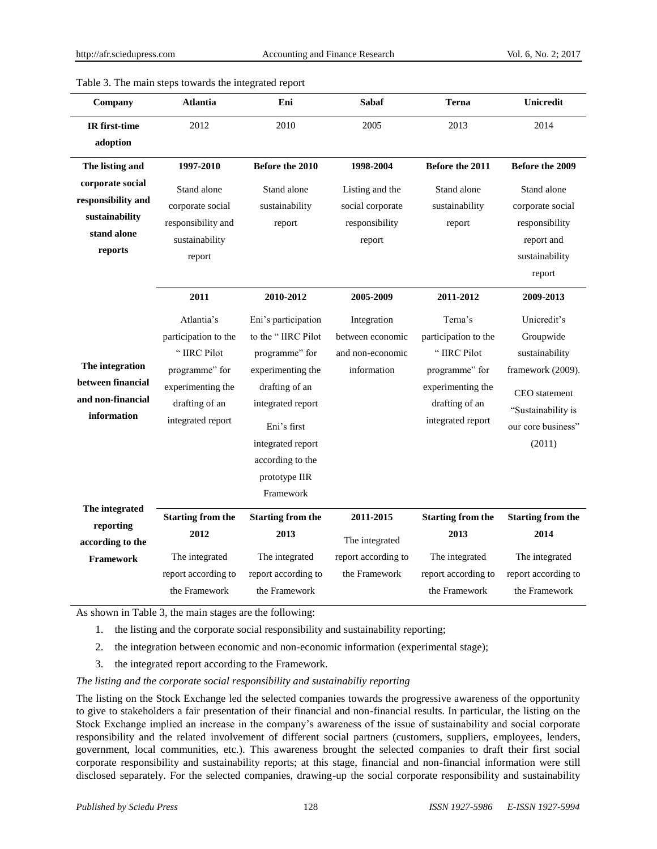| Company              | Atlantia                 | Eni                      | Sabaf               | Terna                    | <b>Unicredit</b>         |
|----------------------|--------------------------|--------------------------|---------------------|--------------------------|--------------------------|
|                      |                          |                          |                     |                          |                          |
| <b>IR</b> first-time | 2012                     | 2010                     | 2005                | 2013                     | 2014                     |
| adoption             |                          |                          |                     |                          |                          |
| The listing and      | 1997-2010                | Before the 2010          | 1998-2004           | Before the 2011          | Before the 2009          |
| corporate social     | Stand alone              | Stand alone              | Listing and the     | Stand alone              | Stand alone              |
| responsibility and   | corporate social         | sustainability           | social corporate    | sustainability           | corporate social         |
| sustainability       | responsibility and       | report                   | responsibility      | report                   | responsibility           |
| stand alone          | sustainability           |                          | report              |                          | report and               |
| reports              | report                   |                          |                     |                          | sustainability           |
|                      |                          |                          |                     |                          | report                   |
|                      |                          |                          |                     |                          |                          |
|                      | 2011                     | 2010-2012                | 2005-2009           | 2011-2012                | 2009-2013                |
|                      | Atlantia's               | Eni's participation      | Integration         | Terna's                  | Unicredit's              |
|                      | participation to the     | to the "IIRC Pilot       | between economic    | participation to the     | Groupwide                |
|                      | " IIRC Pilot             | programme" for           | and non-economic    | "IIRC Pilot              | sustainability           |
| The integration      | programme" for           | experimenting the        | information         | programme" for           | framework (2009).        |
| between financial    | experimenting the        | drafting of an           |                     | experimenting the        | CEO statement            |
| and non-financial    | drafting of an           | integrated report        |                     | drafting of an           | "Sustainability is       |
| information          | integrated report        | Eni's first              |                     | integrated report        | our core business"       |
|                      |                          | integrated report        |                     |                          | (2011)                   |
|                      |                          | according to the         |                     |                          |                          |
|                      |                          | prototype IIR            |                     |                          |                          |
|                      |                          | Framework                |                     |                          |                          |
| The integrated       |                          |                          |                     |                          |                          |
| reporting            | <b>Starting from the</b> | <b>Starting from the</b> | 2011-2015           | <b>Starting from the</b> | <b>Starting from the</b> |
| according to the     | 2012                     | 2013                     | The integrated      | 2013                     | 2014                     |
| <b>Framework</b>     | The integrated           | The integrated           | report according to | The integrated           | The integrated           |
|                      | report according to      | report according to      | the Framework       | report according to      | report according to      |
|                      | the Framework            | the Framework            |                     | the Framework            | the Framework            |

#### Table 3. The main steps towards the integrated report

As shown in Table 3, the main stages are the following:

1. the listing and the corporate social responsibility and sustainability reporting;

- 2. the integration between economic and non-economic information (experimental stage);
- 3. the integrated report according to the Framework.

#### *The listing and the corporate social responsibility and sustainabiliy reporting*

The listing on the Stock Exchange led the selected companies towards the progressive awareness of the opportunity to give to stakeholders a fair presentation of their financial and non-financial results. In particular, the listing on the Stock Exchange implied an increase in the company's awareness of the issue of sustainability and social corporate responsibility and the related involvement of different social partners (customers, suppliers, employees, lenders, government, local communities, etc.). This awareness brought the selected companies to draft their first social corporate responsibility and sustainability reports; at this stage, financial and non-financial information were still disclosed separately. For the selected companies, drawing-up the social corporate responsibility and sustainability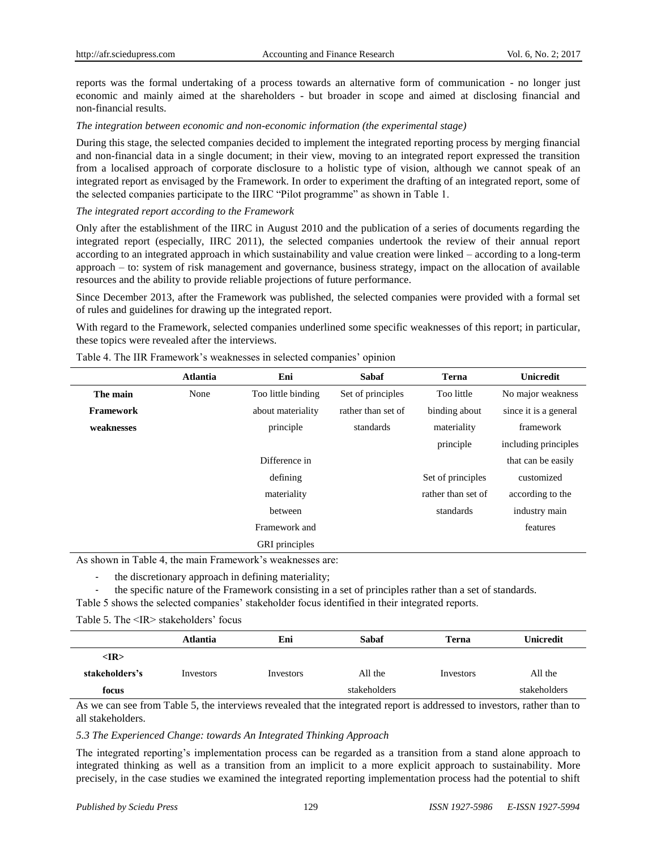reports was the formal undertaking of a process towards an alternative form of communication - no longer just economic and mainly aimed at the shareholders - but broader in scope and aimed at disclosing financial and non-financial results.

# *The integration between economic and non-economic information (the experimental stage)*

During this stage, the selected companies decided to implement the integrated reporting process by merging financial and non-financial data in a single document; in their view, moving to an integrated report expressed the transition from a localised approach of corporate disclosure to a holistic type of vision, although we cannot speak of an integrated report as envisaged by the Framework. In order to experiment the drafting of an integrated report, some of the selected companies participate to the IIRC "Pilot programme" as shown in Table 1.

#### *The integrated report according to the Framework*

Only after the establishment of the IIRC in August 2010 and the publication of a series of documents regarding the integrated report (especially, IIRC 2011), the selected companies undertook the review of their annual report according to an integrated approach in which sustainability and value creation were linked – according to a long-term approach – to: system of risk management and governance, business strategy, impact on the allocation of available resources and the ability to provide reliable projections of future performance.

Since December 2013, after the Framework was published, the selected companies were provided with a formal set of rules and guidelines for drawing up the integrated report.

With regard to the Framework, selected companies underlined some specific weaknesses of this report; in particular, these topics were revealed after the interviews.

|            | <b>Atlantia</b> | Eni                   | <b>Sabaf</b>       | <b>Terna</b>       | <b>Unicredit</b>      |
|------------|-----------------|-----------------------|--------------------|--------------------|-----------------------|
| The main   | None            | Too little binding    | Set of principles  | Too little         | No major weakness     |
| Framework  |                 | about materiality     | rather than set of | binding about      | since it is a general |
| weaknesses |                 | principle             | standards          | materiality        | framework             |
|            |                 |                       |                    | principle          | including principles  |
|            |                 | Difference in         |                    |                    | that can be easily    |
|            |                 | defining              |                    | Set of principles  | customized            |
|            |                 | materiality           |                    | rather than set of | according to the      |
|            |                 | between               |                    | standards          | industry main         |
|            |                 | Framework and         |                    |                    | features              |
|            |                 | <b>GRI</b> principles |                    |                    |                       |

Table 4. The IIR Framework's weaknesses in selected companies' opinion

As shown in Table 4, the main Framework's weaknesses are:

the discretionary approach in defining materiality;

the specific nature of the Framework consisting in a set of principles rather than a set of standards.

Table 5 shows the selected companies' stakeholder focus identified in their integrated reports.

Table 5. The <IR> stakeholders' focus

|                | <b>Atlantia</b> | Eni                          | <b>Sabaf</b> | Terna     | Unicredit |  |
|----------------|-----------------|------------------------------|--------------|-----------|-----------|--|
| $<$ IR $>$     |                 |                              |              |           |           |  |
| stakeholders's | Investors       | Investors                    | All the      | Investors | All the   |  |
| focus          |                 | stakeholders<br>stakeholders |              |           |           |  |

As we can see from Table 5, the interviews revealed that the integrated report is addressed to investors, rather than to all stakeholders.

#### *5.3 The Experienced Change: towards An Integrated Thinking Approach*

The integrated reporting's implementation process can be regarded as a transition from a stand alone approach to integrated thinking as well as a transition from an implicit to a more explicit approach to sustainability. More precisely, in the case studies we examined the integrated reporting implementation process had the potential to shift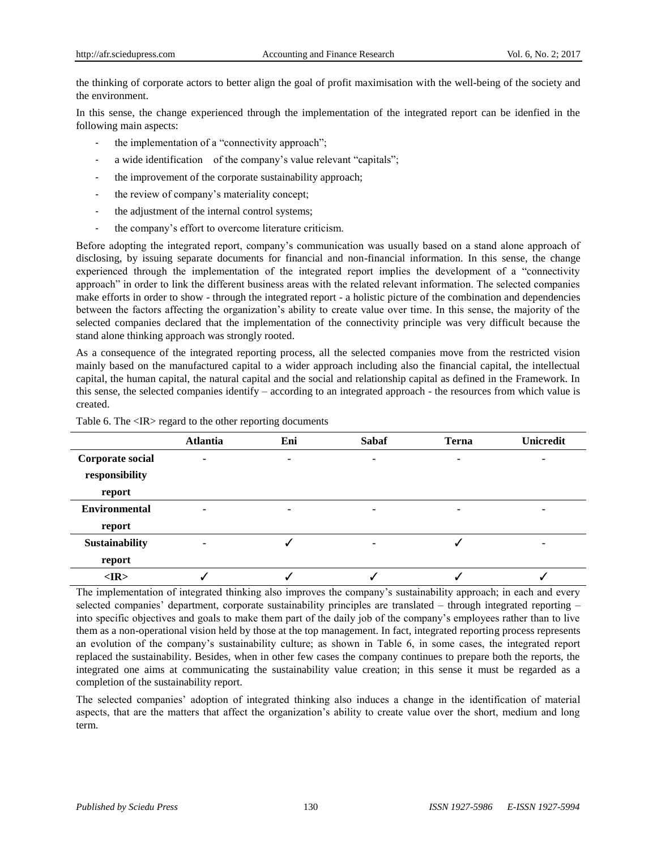the thinking of corporate actors to better align the goal of profit maximisation with the well-being of the society and the environment.

In this sense, the change experienced through the implementation of the integrated report can be idenfied in the following main aspects:

- the implementation of a "connectivity approach";
- a wide identification of the company's value relevant "capitals";
- the improvement of the corporate sustainability approach;
- the review of company's materiality concept;
- the adjustment of the internal control systems;
	- the company's effort to overcome literature criticism.

Before adopting the integrated report, company's communication was usually based on a stand alone approach of disclosing, by issuing separate documents for financial and non-financial information. In this sense, the change experienced through the implementation of the integrated report implies the development of a "connectivity approach" in order to link the different business areas with the related relevant information. The selected companies make efforts in order to show - through the integrated report - a holistic picture of the combination and dependencies between the factors affecting the organization's ability to create value over time. In this sense, the majority of the selected companies declared that the implementation of the connectivity principle was very difficult because the stand alone thinking approach was strongly rooted.

As a consequence of the integrated reporting process, all the selected companies move from the restricted vision mainly based on the manufactured capital to a wider approach including also the financial capital, the intellectual capital, the human capital, the natural capital and the social and relationship capital as defined in the Framework. In this sense, the selected companies identify – according to an integrated approach - the resources from which value is created.

|                      | <b>Atlantia</b> | Eni            | Sabaf | <b>Terna</b> | <b>Unicredit</b> |
|----------------------|-----------------|----------------|-------|--------------|------------------|
| Corporate social     | ۰               | ٠              |       |              | ۰                |
| responsibility       |                 |                |       |              |                  |
| report               |                 |                |       |              |                  |
| <b>Environmental</b> | ۰               | $\blacksquare$ |       |              | -                |
| report               |                 |                |       |              |                  |
| Sustainability       |                 |                |       |              |                  |
| report               |                 |                |       |              |                  |
| $<$ IR $>$           |                 |                |       |              |                  |

Table 6. The <IR> regard to the other reporting documents

The implementation of integrated thinking also improves the company's sustainability approach; in each and every selected companies' department, corporate sustainability principles are translated – through integrated reporting – into specific objectives and goals to make them part of the daily job of the company's employees rather than to live them as a non-operational vision held by those at the top management. In fact, integrated reporting process represents an evolution of the company's sustainability culture; as shown in Table 6, in some cases, the integrated report replaced the sustainability. Besides, when in other few cases the company continues to prepare both the reports, the integrated one aims at communicating the sustainability value creation; in this sense it must be regarded as a completion of the sustainability report.

The selected companies' adoption of integrated thinking also induces a change in the identification of material aspects, that are the matters that affect the organization's ability to create value over the short, medium and long term.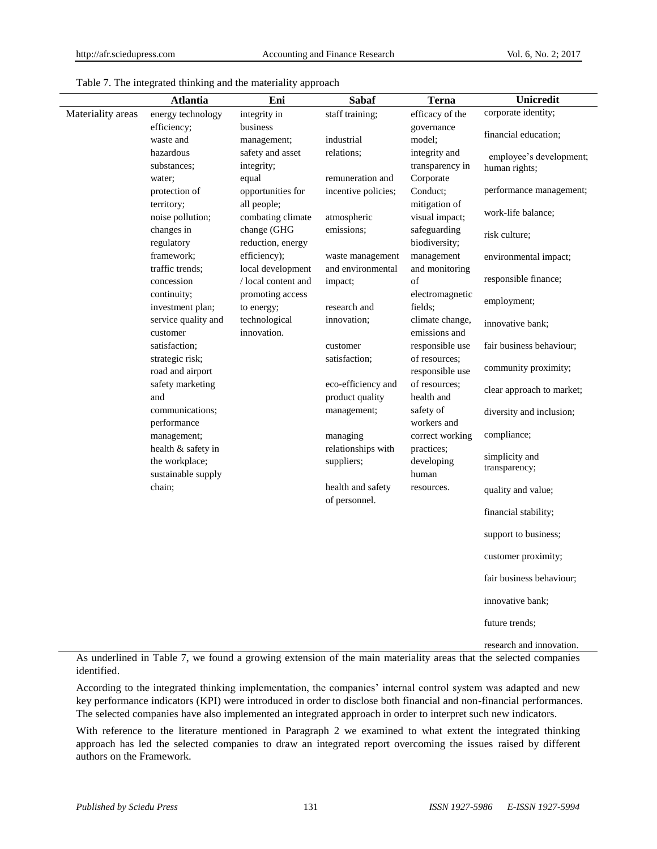|                   | <b>Atlantia</b>                  | Eni                 | <b>Sabaf</b>              | <b>Terna</b>                     | <b>Unicredit</b>          |
|-------------------|----------------------------------|---------------------|---------------------------|----------------------------------|---------------------------|
| Materiality areas | energy technology                | integrity in        | staff training;           | efficacy of the                  | corporate identity;       |
|                   | efficiency;                      | business            |                           | governance                       |                           |
|                   | waste and                        | management;         | industrial                | model;                           | financial education;      |
|                   | hazardous                        | safety and asset    | relations;                | integrity and                    | employee's development;   |
|                   | substances;                      | integrity;          |                           | transparency in                  | human rights;             |
|                   | water;                           | equal               | remuneration and          | Corporate                        |                           |
|                   | protection of                    | opportunities for   | incentive policies;       | Conduct;                         | performance management;   |
|                   | territory;                       | all people;         |                           | mitigation of                    | work-life balance;        |
|                   | noise pollution;                 | combating climate   | atmospheric               | visual impact;                   |                           |
|                   | changes in                       | change (GHG         | emissions;                | safeguarding                     | risk culture;             |
|                   | regulatory                       | reduction, energy   |                           | biodiversity;                    |                           |
|                   | framework;                       | efficiency);        | waste management          | management                       | environmental impact;     |
|                   | traffic trends:                  | local development   | and environmental         | and monitoring                   | responsible finance;      |
|                   | concession                       | / local content and | impact;                   | of                               |                           |
|                   | continuity;                      | promoting access    |                           | electromagnetic                  | employment;               |
|                   | investment plan;                 | to energy;          | research and              | fields;                          |                           |
|                   | service quality and              | technological       | innovation;               | climate change,                  | innovative bank;          |
|                   | customer                         | innovation.         |                           | emissions and                    |                           |
|                   | satisfaction;<br>strategic risk; |                     | customer<br>satisfaction; | responsible use<br>of resources; | fair business behaviour;  |
|                   | road and airport                 |                     |                           | responsible use                  | community proximity;      |
|                   | safety marketing                 |                     | eco-efficiency and        | of resources;                    |                           |
|                   | and                              |                     | product quality           | health and                       | clear approach to market; |
|                   | communications;                  |                     | management;               | safety of                        |                           |
|                   | performance                      |                     |                           | workers and                      | diversity and inclusion;  |
|                   | management;                      |                     | managing                  | correct working                  | compliance;               |
|                   | health & safety in               |                     | relationships with        | practices;                       |                           |
|                   | the workplace;                   |                     | suppliers;                | developing                       | simplicity and            |
|                   | sustainable supply               |                     |                           | human                            | transparency;             |
|                   | chain;                           |                     | health and safety         | resources.                       | quality and value;        |
|                   |                                  |                     | of personnel.             |                                  |                           |
|                   |                                  |                     |                           |                                  | financial stability;      |
|                   |                                  |                     |                           |                                  |                           |
|                   |                                  |                     |                           |                                  | support to business;      |
|                   |                                  |                     |                           |                                  | customer proximity;       |
|                   |                                  |                     |                           |                                  |                           |
|                   |                                  |                     |                           |                                  | fair business behaviour;  |
|                   |                                  |                     |                           |                                  | innovative bank;          |
|                   |                                  |                     |                           |                                  | future trends;            |
|                   |                                  |                     |                           |                                  | research and innovation   |

As underlined in Table 7, we found a growing extension of the main materiality areas that the selected companies identified.

According to the integrated thinking implementation, the companies' internal control system was adapted and new key performance indicators (KPI) were introduced in order to disclose both financial and non-financial performances. The selected companies have also implemented an integrated approach in order to interpret such new indicators.

With reference to the literature mentioned in Paragraph 2 we examined to what extent the integrated thinking approach has led the selected companies to draw an integrated report overcoming the issues raised by different authors on the Framework.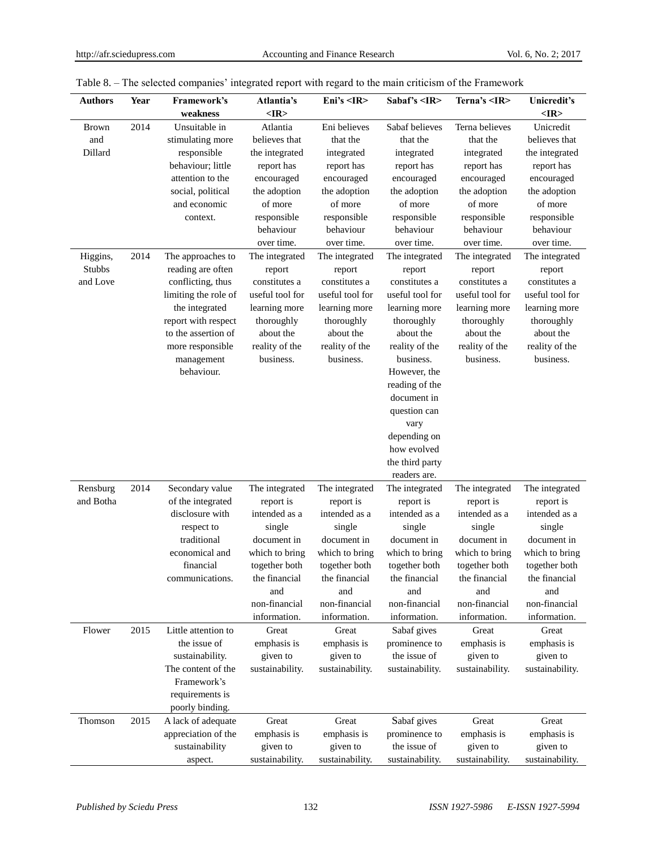| <b>Authors</b> | Year | Framework's                           | Atlantia's           | Eni's $\leq$ IR>     | Sabaf's $\langle IR \rangle$  | Terna's <ir></ir>       | Unicredit's             |
|----------------|------|---------------------------------------|----------------------|----------------------|-------------------------------|-------------------------|-------------------------|
|                |      | weakness                              | $<$ IR>              |                      |                               |                         | $<$ IR>                 |
| <b>Brown</b>   | 2014 | Unsuitable in                         | Atlantia             | Eni believes         | Sabaf believes                | Terna believes          | Unicredit               |
| and            |      | stimulating more                      | believes that        | that the             | that the                      | that the                | believes that           |
| Dillard        |      | responsible                           | the integrated       | integrated           | integrated                    | integrated              | the integrated          |
|                |      | behaviour; little                     | report has           | report has           | report has                    | report has              | report has              |
|                |      | attention to the                      | encouraged           | encouraged           | encouraged                    | encouraged              | encouraged              |
|                |      | social, political                     | the adoption         | the adoption         | the adoption                  | the adoption            | the adoption            |
|                |      | and economic                          | of more              | of more              | of more                       | of more                 | of more                 |
|                |      | context.                              | responsible          | responsible          | responsible                   | responsible             | responsible             |
|                |      |                                       | behaviour            | behaviour            | behaviour                     | behaviour               | behaviour               |
|                |      |                                       | over time.           | over time.           | over time.                    | over time.              | over time.              |
| Higgins,       | 2014 | The approaches to                     | The integrated       | The integrated       | The integrated                | The integrated          | The integrated          |
| Stubbs         |      | reading are often                     | report               | report               | report                        | report                  | report                  |
| and Love       |      | conflicting, thus                     | constitutes a        | constitutes a        | constitutes a                 | constitutes a           | constitutes a           |
|                |      | limiting the role of                  | useful tool for      | useful tool for      | useful tool for               | useful tool for         | useful tool for         |
|                |      | the integrated                        | learning more        | learning more        | learning more                 | learning more           | learning more           |
|                |      | report with respect                   | thoroughly           | thoroughly           | thoroughly                    | thoroughly              | thoroughly              |
|                |      | to the assertion of                   | about the            | about the            | about the                     | about the               | about the               |
|                |      | more responsible                      | reality of the       | reality of the       | reality of the                | reality of the          | reality of the          |
|                |      | management                            | business.            | business.            | business.                     | business.               | business.               |
|                |      | behaviour.                            |                      |                      | However, the                  |                         |                         |
|                |      |                                       |                      |                      | reading of the                |                         |                         |
|                |      |                                       |                      |                      | document in                   |                         |                         |
|                |      |                                       |                      |                      | question can                  |                         |                         |
|                |      |                                       |                      |                      | vary                          |                         |                         |
|                |      |                                       |                      |                      | depending on                  |                         |                         |
|                |      |                                       |                      |                      | how evolved                   |                         |                         |
|                |      |                                       |                      |                      | the third party               |                         |                         |
|                |      |                                       |                      |                      | readers are.                  |                         |                         |
| Rensburg       | 2014 | Secondary value                       | The integrated       | The integrated       | The integrated                | The integrated          | The integrated          |
| and Botha      |      | of the integrated                     | report is            | report is            | report is                     | report is               | report is               |
|                |      | disclosure with                       | intended as a        | intended as a        | intended as a                 | intended as a           | intended as a           |
|                |      | respect to                            | single               | single               | single                        | single                  | single                  |
|                |      | traditional                           | document in          | document in          | document in                   | document in             | document in             |
|                |      | economical and                        | which to bring       | which to bring       | which to bring                | which to bring          | which to bring          |
|                |      | financial                             | together both        | together both        | together both                 | together both           | together both           |
|                |      | communications.                       | the financial        | the financial        | the financial                 | the financial           | the financial           |
|                |      |                                       | and<br>non-financial | and<br>non-financial | and<br>non-financial          | and<br>non-financial    | and<br>non-financial    |
|                |      |                                       | information.         | information.         | information.                  | information.            | information.            |
|                |      |                                       |                      |                      |                               |                         | Great                   |
| Flower         | 2015 | Little attention to<br>the issue of   | Great<br>emphasis is | Great<br>emphasis is | Sabaf gives                   | Great                   |                         |
|                |      |                                       |                      | given to             | prominence to<br>the issue of | emphasis is<br>given to | emphasis is<br>given to |
|                |      | sustainability.<br>The content of the | given to             |                      |                               |                         |                         |
|                |      | Framework's                           | sustainability.      | sustainability.      | sustainability.               | sustainability.         | sustainability.         |
|                |      |                                       |                      |                      |                               |                         |                         |
|                |      | requirements is                       |                      |                      |                               |                         |                         |
|                |      | poorly binding.                       |                      |                      |                               |                         |                         |
| Thomson        | 2015 | A lack of adequate                    | Great                | Great                | Sabaf gives                   | Great                   | Great                   |
|                |      | appreciation of the                   | emphasis is          | emphasis is          | prominence to                 | emphasis is             | emphasis is             |
|                |      | sustainability                        | given to             | given to             | the issue of                  | given to                | given to                |
|                |      | aspect.                               | sustainability.      | sustainability.      | sustainability.               | sustainability.         | sustainability.         |

# Table 8. – The selected companies' integrated report with regard to the main criticism of the Framework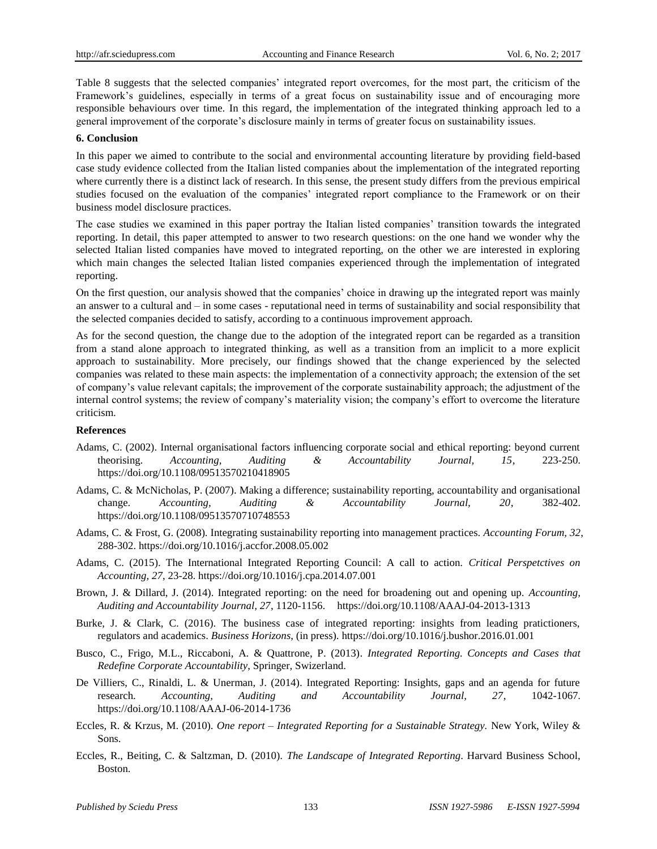Table 8 suggests that the selected companies' integrated report overcomes, for the most part, the criticism of the Framework's guidelines, especially in terms of a great focus on sustainability issue and of encouraging more responsible behaviours over time. In this regard, the implementation of the integrated thinking approach led to a general improvement of the corporate's disclosure mainly in terms of greater focus on sustainability issues.

### **6. Conclusion**

In this paper we aimed to contribute to the social and environmental accounting literature by providing field-based case study evidence collected from the Italian listed companies about the implementation of the integrated reporting where currently there is a distinct lack of research. In this sense, the present study differs from the previous empirical studies focused on the evaluation of the companies' integrated report compliance to the Framework or on their business model disclosure practices.

The case studies we examined in this paper portray the Italian listed companies' transition towards the integrated reporting. In detail, this paper attempted to answer to two research questions: on the one hand we wonder why the selected Italian listed companies have moved to integrated reporting, on the other we are interested in exploring which main changes the selected Italian listed companies experienced through the implementation of integrated reporting.

On the first question, our analysis showed that the companies' choice in drawing up the integrated report was mainly an answer to a cultural and – in some cases - reputational need in terms of sustainability and social responsibility that the selected companies decided to satisfy, according to a continuous improvement approach.

As for the second question, the change due to the adoption of the integrated report can be regarded as a transition from a stand alone approach to integrated thinking, as well as a transition from an implicit to a more explicit approach to sustainability. More precisely, our findings showed that the change experienced by the selected companies was related to these main aspects: the implementation of a connectivity approach; the extension of the set of company's value relevant capitals; the improvement of the corporate sustainability approach; the adjustment of the internal control systems; the review of company's materiality vision; the company's effort to overcome the literature criticism.

# **References**

- Adams, C. (2002). Internal organisational factors influencing corporate social and ethical reporting: beyond current theorising. *Accounting, Auditing & Accountability Journal, 15*, 223-250. <https://doi.org/10.1108/09513570210418905>
- Adams, C. & McNicholas, P. (2007). Making a difference; sustainability reporting, accountability and organisational change. *Accounting, Auditing & Accountability Journal, 20*, 382-402. <https://doi.org/10.1108/09513570710748553>
- Adams, C. & Frost, G. (2008). Integrating sustainability reporting into management practices. *Accounting Forum, 32*, 288-302. <https://doi.org/10.1016/j.accfor.2008.05.002>
- Adams, C. (2015). The International Integrated Reporting Council: A call to action. *Critical Perspetctives on Accounting, 27*, 23-28.<https://doi.org/10.1016/j.cpa.2014.07.001>
- Brown, J. & Dillard, J. (2014). Integrated reporting: on the need for broadening out and opening up. *Accounting, Auditing and Accountability Journal, 27*, 1120-1156. <https://doi.org/10.1108/AAAJ-04-2013-1313>
- Burke, J. & Clark, C. (2016). The business case of integrated reporting: insights from leading pratictioners, regulators and academics. *Business Horizons*, (in press). <https://doi.org/10.1016/j.bushor.2016.01.001>
- Busco, C., Frigo, M.L., Riccaboni, A. & Quattrone, P. (2013). *Integrated Reporting. Concepts and Cases that Redefine Corporate Accountability*, Springer, Swizerland.
- De Villiers, C., Rinaldi, L. & Unerman, J. (2014). Integrated Reporting: Insights, gaps and an agenda for future research. *Accounting, Auditing and Accountability Journal, 27*, 1042-1067. <https://doi.org/10.1108/AAAJ-06-2014-1736>
- Eccles, R. & Krzus, M. (2010). *One report – Integrated Reporting for a Sustainable Strategy.* New York, Wiley & Sons.
- Eccles, R., Beiting, C. & Saltzman, D. (2010). *The Landscape of Integrated Reporting*. Harvard Business School, Boston.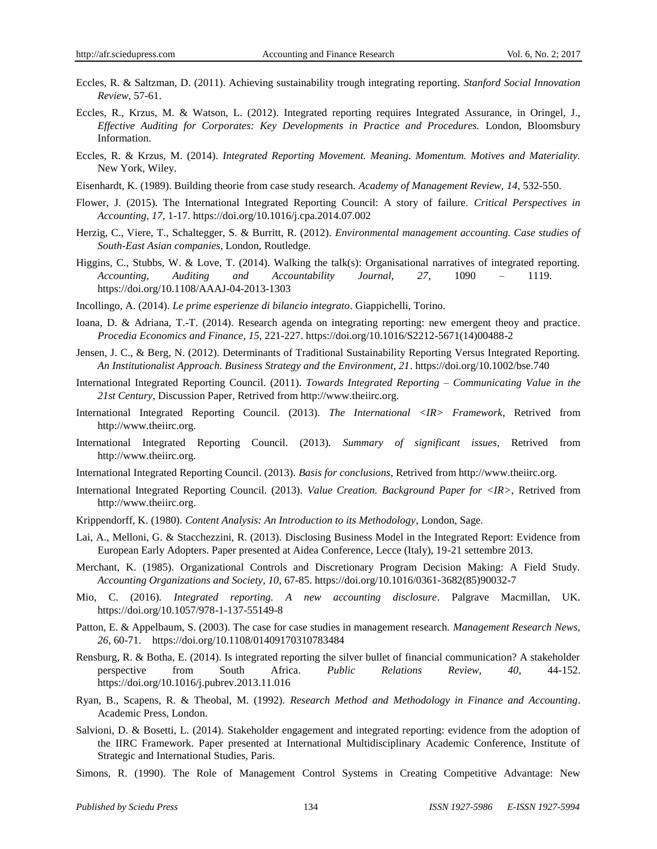- Eccles, R. & Saltzman, D. (2011). Achieving sustainability trough integrating reporting. *Stanford Social Innovation Review*, 57-61.
- Eccles, R., Krzus, M. & Watson, L. (2012). Integrated reporting requires Integrated Assurance, in Oringel, J., *Effective Auditing for Corporates: Key Developments in Practice and Procedures.* London, Bloomsbury Information.
- Eccles, R. & Krzus, M. (2014). *Integrated Reporting Movement. Meaning. Momentum. Motives and Materiality.* New York, Wiley.
- Eisenhardt, K. (1989). Building theorie from case study research. *Academy of Management Review, 14*, 532-550.
- Flower, J. (2015). The International Integrated Reporting Council: A story of failure. *Critical Perspectives in Accounting, 17*, 1-17. <https://doi.org/10.1016/j.cpa.2014.07.002>
- Herzig, C., Viere, T., Schaltegger, S. & Burritt, R. (2012). *Environmental management accounting. Case studies of South-East Asian companies*, London, Routledge.
- Higgins, C., Stubbs, W. & Love, T. (2014). Walking the talk(s): Organisational narratives of integrated reporting. *Accounting, Auditing and Accountability Journal, 27*, 1090 – 1119. https://doi.org/10.1108/AAAJ-04-2013-1303
- Incollingo, A. (2014). *Le prime esperienze di bilancio integrato*. Giappichelli, Torino.
- Ioana, D. & Adriana, T.-T. (2014). Research agenda on integrating reporting: new emergent theoy and practice. *Procedia Economics and Finance, 15*, 221-227. [https://doi.org/10.1016/S2212-5671\(14\)00488-2](https://doi.org/10.1016/S2212-5671(14)00488-2)
- Jensen, J. C., & Berg, N. (2012). Determinants of Traditional Sustainability Reporting Versus Integrated Reporting. *An Institutionalist Approach. Business Strategy and the Environment, 21*.<https://doi.org/10.1002/bse.740>
- International Integrated Reporting Council. (2011). *Towards Integrated Reporting – Communicating Value in the 21st Century*, Discussion Paper, Retrived from http://www.theiirc.org.
- International Integrated Reporting Council. (2013). *The International <IR> Framework*, Retrived from http://www.theiirc.org.
- International Integrated Reporting Council. (2013). *Summary of significant issues*, Retrived from http://www.theiirc.org.
- International Integrated Reporting Council. (2013). *Basis for conclusions*, Retrived from http://www.theiirc.org.
- International Integrated Reporting Council. (2013). *Value Creation. Background Paper for <IR>,* Retrived from [http://www.theiirc.org.](http://www.theiirc.org/)
- Krippendorff, K. (1980). *Content Analysis: An Introduction to its Methodology*, London, Sage.
- Lai, A., Melloni, G. & Stacchezzini, R. (2013). Disclosing Business Model in the Integrated Report: Evidence from European Early Adopters. Paper presented at Aidea Conference, Lecce (Italy), 19-21 settembre 2013.
- Merchant, K. (1985). Organizational Controls and Discretionary Program Decision Making: A Field Study. *Accounting Organizations and Society, 10*, 67-85. [https://doi.org/10.1016/0361-3682\(85\)90032-7](https://doi.org/10.1016/0361-3682(85)90032-7)
- Mio, C. (2016). *Integrated reporting. A new accounting disclosure*. Palgrave Macmillan, UK. <https://doi.org/10.1057/978-1-137-55149-8>
- Patton, E. & Appelbaum, S. (2003). The case for case studies in management research. *Management Research News, 26*, 60-71. https://doi.org/10.1108/01409170310783484
- Rensburg, R. & Botha, E. (2014). Is integrated reporting the silver bullet of financial communication? A stakeholder perspective from South Africa. *Public Relations Review, 40*, 44-152. <https://doi.org/10.1016/j.pubrev.2013.11.016>
- Ryan, B., Scapens, R. & Theobal, M. (1992). *Research Method and Methodology in Finance and Accounting*. Academic Press, London.
- Salvioni, D. & Bosetti, L. (2014). Stakeholder engagement and integrated reporting: evidence from the adoption of the IIRC Framework. Paper presented at International Multidisciplinary Academic Conference, Institute of Strategic and International Studies, Paris.
- Simons, R. (1990). The Role of Management Control Systems in Creating Competitive Advantage: New